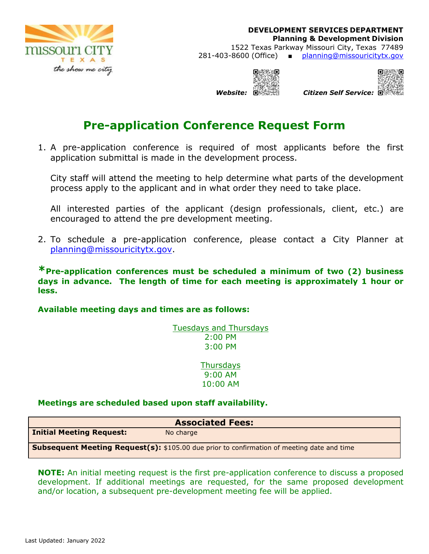

**DEVELOPMENT SERVICES DEPARTMENT Planning & Development Division**  1522 Texas Parkway Missouri City, Texas 77489 281-403-8600 (Office) ■ planning@missouricitytx.gov



 *Website: Citizen Self Service:* 

# **Pre-application Conference Request Form**

1. A pre-application conference is required of most applicants before the first application submittal is made in the development process.

City staff will attend the meeting to help determine what parts of the development process apply to the applicant and in what order they need to take place.

All interested parties of the applicant (design professionals, client, etc.) are encouraged to attend the pre development meeting.

2. To schedule a pre-application conference, please contact a City Planner at planning@missouricitytx.gov.

**\*Pre-application conferences must be scheduled a minimum of two (2) business days in advance. The length of time for each meeting is approximately 1 hour or less.** 

### **Available meeting days and times are as follows:**

Tuesdays and Thursdays 2:00 PM 3:00 PM

> **Thursdays** 9:00 AM 10:00 AM

### **Meetings are scheduled based upon staff availability.**

| <b>Associated Fees:</b>                                                                           |           |  |  |  |  |
|---------------------------------------------------------------------------------------------------|-----------|--|--|--|--|
| <b>Initial Meeting Request:</b>                                                                   | No charge |  |  |  |  |
| <b>Subsequent Meeting Request(s):</b> \$105.00 due prior to confirmation of meeting date and time |           |  |  |  |  |

**NOTE:** An initial meeting request is the first pre-application conference to discuss a proposed development. If additional meetings are requested, for the same proposed development and/or location, a subsequent pre-development meeting fee will be applied.